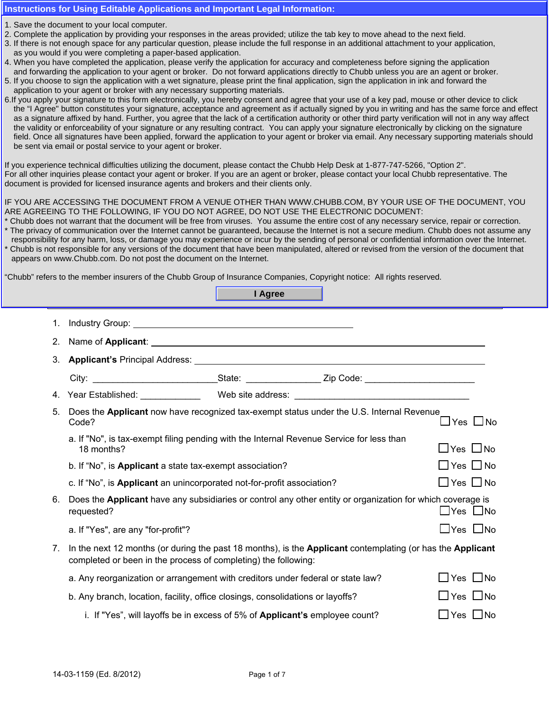#### **Instructions for Using Editable Applications and Important Legal Information:**

- 1. Save the document to your local computer.
- 2. Complete the application by providing your responses in the areas provided; utilize the tab key to move ahead to the next field.
- 2. Complete the application by providing your responses in the areas provided; utilize the tab key to move ahead to the next field.<br>3. If there is not enough space for any particular question, please include the full respo **Companies**  as you would if you were completing a paper-based application. as you would if you were completing a paper-based application.<br>4. When you have completed the application, please verify the application for accuracy and completeness before signing the application
- a. when you have completed the application, please verify the application for accuracy and completeness before signing the application<br>and forwarding the application to your agent or broker. Do not forward applications dir
- 5. If you choose to sign the application with a wet signature, please print the final application, sign the application in ink and forward the application to your agent or broker with any necessary supporting materials.
- the "I Agree" button constitutes your signature, acceptance and agreement as if actually signed by you in writing and has the same force and effect as a signature affixed by hand. Further, you agree that the lack of a certification authority or other third party verification will not in any way affect **NOTICE: THE LIABILITY COVERAGE SECTIONS OF THE LIABILITY COVER ARE PURCHASED ARE PURCHASED OF THIS POLICY COVER ARE PURCHASED OF THIS POLICY COVER ARE PURCHASED OF THE LIABILITY OF THE PURCHASED OF THIS PURCHASED OF THE L** 6. If you apply your signature to this form electronically, you hereby consent and agree that your use of a key pad, mouse or other device to click the validity or enforceability of your signature or any resulting contract. You can apply your signature electronically by clicking on the signature field. Once all signatures have been applied, forward the application to your agent or broker via email. Any necessary supporting materials should

If you experience technical difficulties utilizing the document, please contact the Chubb Help Desk at 1-877-747-5266, "Option 2". For all other inquiries please contact your agent or broker. If you are an agent or broker, please contact your local Chubb representative. The document is provided for licensed insurance agents and brokers and their clients only.

### IF YOU ARE ACCESSING THE DOCUMENT FROM A VENUE OTHER THAN WWW.CHUBB.COM, BY YOUR USE OF THE DOCUMENT, YOU IN TOO ARE ABOLOGING THE BOOGMENT TROMAT VERSE OTHER THAN WINNOTISBBISOM, BY TOOR OSE OF THE BO<br>ARE AGREEING TO THE FOLLOWING, IF YOU DO NOT AGREE, DO NOT USE THE ELECTRONIC DOCUMENT:

- \* Chubb does not warrant that the document will be free from viruses. You assume the entire cost of any necessary service, repair or correction. The proces of communication over the internet cannot be gadianteed, because the internet is not a secare mediam. Chaps does not assume any responsibility for any harm, loss, or damage you may experience or incur by the sen The privacy of communication over the Internet cannot be guaranteed, because the Internet is not a secure medium. Chubb does not assume any
- appears on www.Chubb.com. Do not post the document on the Internet. **Application application application** applicant Chubb is not responsible for any versions of the document that have been manipulated, altered or revised from the version of the document that

"Chubb" refers to the member insurers of the Chubb Group of Insurance Companies, Copyright notice: All rights reserved.

|                |                                                                                                                                                                                                                                                             | I Agree                    |  |                            |  |
|----------------|-------------------------------------------------------------------------------------------------------------------------------------------------------------------------------------------------------------------------------------------------------------|----------------------------|--|----------------------------|--|
| 1.             |                                                                                                                                                                                                                                                             |                            |  |                            |  |
| 2 <sub>1</sub> |                                                                                                                                                                                                                                                             |                            |  |                            |  |
| 3.             |                                                                                                                                                                                                                                                             |                            |  |                            |  |
|                |                                                                                                                                                                                                                                                             |                            |  |                            |  |
|                |                                                                                                                                                                                                                                                             |                            |  |                            |  |
| 5.             | Does the Applicant now have recognized tax-exempt status under the U.S. Internal Revenue<br>$\Box$ Yes $\Box$ No<br>Code?<br>a. If "No", is tax-exempt filing pending with the Internal Revenue Service for less than<br>$\Box$ Yes $\Box$ No<br>18 months? |                            |  |                            |  |
|                |                                                                                                                                                                                                                                                             |                            |  |                            |  |
|                | b. If "No", is Applicant a state tax-exempt association?                                                                                                                                                                                                    | $\square$ Yes $\square$ No |  |                            |  |
|                | c. If "No", is Applicant an unincorporated not-for-profit association?                                                                                                                                                                                      |                            |  | $\square$ Yes $\square$ No |  |
| 6.             | Does the Applicant have any subsidiaries or control any other entity or organization for which coverage is<br>$\Box$ Yes $\Box$ No<br>requested?                                                                                                            |                            |  |                            |  |
|                | a. If "Yes", are any "for-profit"?                                                                                                                                                                                                                          |                            |  | $\Box$ Yes $\Box$ No       |  |
| 7.             | In the next 12 months (or during the past 18 months), is the Applicant contemplating (or has the Applicant<br>completed or been in the process of completing) the following:                                                                                |                            |  |                            |  |
|                | a. Any reorganization or arrangement with creditors under federal or state law?                                                                                                                                                                             |                            |  | $\Box$ Yes $\Box$ No       |  |
|                | b. Any branch, location, facility, office closings, consolidations or layoffs?                                                                                                                                                                              |                            |  | ∐Yes ∐No                   |  |
|                | i. If "Yes", will layoffs be in excess of 5% of Applicant's employee count?                                                                                                                                                                                 |                            |  | ∐Yes ∐No                   |  |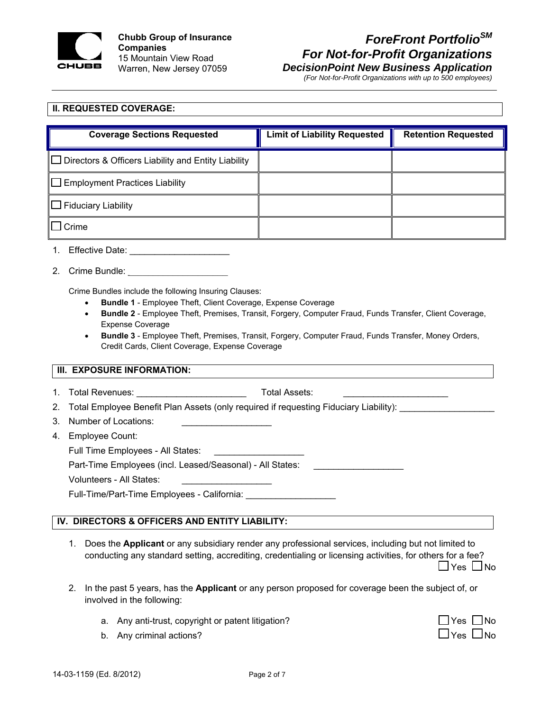

# *ForeFront PortfolioSM For Not-for-Profit Organizations DecisionPoint New Business Application*

*(For Not-for-Profit Organizations with up to 500 employees)* 

### **II. REQUESTED COVERAGE:**

| <b>Coverage Sections Requested</b>                         | <b>Limit of Liability Requested</b> | <b>Retention Requested</b> |
|------------------------------------------------------------|-------------------------------------|----------------------------|
| $\Box$ Directors & Officers Liability and Entity Liability |                                     |                            |
| $\Box$ Employment Practices Liability                      |                                     |                            |
| $\Box$ Fiduciary Liability                                 |                                     |                            |
| Crime                                                      |                                     |                            |

- 1. Effective Date: \_\_\_\_\_\_\_\_\_\_\_\_\_\_\_\_\_\_\_\_
- 2. Crime Bundle:

Crime Bundles include the following Insuring Clauses:

- **Bundle 1** Employee Theft, Client Coverage, Expense Coverage
- **Bundle 2** Employee Theft, Premises, Transit, Forgery, Computer Fraud, Funds Transfer, Client Coverage, Expense Coverage
- **Bundle 3** Employee Theft, Premises, Transit, Forgery, Computer Fraud, Funds Transfer, Money Orders, Credit Cards, Client Coverage, Expense Coverage

### **III. EXPOSURE INFORMATION:**

- 1. Total Revenues: extending the state of Total Assets:
- 2. Total Employee Benefit Plan Assets (only required if requesting Fiduciary Liability):
- 3. Number of Locations:
- 4. Employee Count:

Full Time Employees - All States:

Part-Time Employees (incl. Leased/Seasonal) - All States:

Volunteers - All States:

Full-Time/Part-Time Employees - California:

### **IV. DIRECTORS & OFFICERS AND ENTITY LIABILITY:**

- 1. Does the **Applicant** or any subsidiary render any professional services, including but not limited to conducting any standard setting, accrediting, credentialing or licensing activities, for others for a fee?  $\Box$ Yes  $\Box$ No
- 2. In the past 5 years, has the **Applicant** or any person proposed for coverage been the subject of, or involved in the following:
	- a. Any anti-trust, copyright or patent litigation?
	- b. Any criminal actions?

| Yes | $\Box$ No |
|-----|-----------|
| Yes | l No      |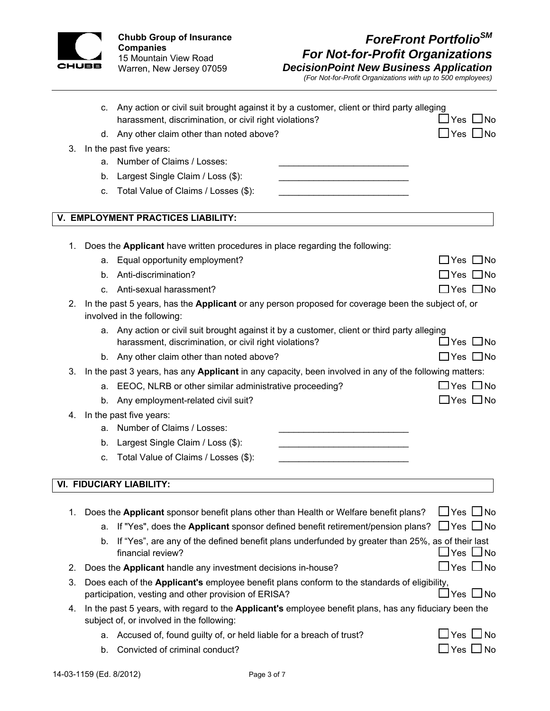

*(For Not-for-Profit Organizations with up to 500 employees)* 

|    |             | c. Any action or civil suit brought against it by a customer, client or third party alleging<br>harassment, discrimination, or civil right violations? | Yes L<br>$\Box$ No       |
|----|-------------|--------------------------------------------------------------------------------------------------------------------------------------------------------|--------------------------|
|    |             | d. Any other claim other than noted above?                                                                                                             | ⊿Yes ∐No                 |
| 3. |             | In the past five years:                                                                                                                                |                          |
|    | а.          | Number of Claims / Losses:                                                                                                                             |                          |
|    | b.          | Largest Single Claim / Loss (\$):                                                                                                                      |                          |
|    | C.          | Total Value of Claims / Losses (\$):                                                                                                                   |                          |
|    |             |                                                                                                                                                        |                          |
|    |             | V. EMPLOYMENT PRACTICES LIABILITY:                                                                                                                     |                          |
| 1. |             | Does the Applicant have written procedures in place regarding the following:                                                                           |                          |
|    | а.          | Equal opportunity employment?                                                                                                                          | $\Box$ Yes $\Box$ No     |
|    | b.          | Anti-discrimination?                                                                                                                                   | $\Box$ Yes $\Box$ No     |
|    | $C_{\cdot}$ | Anti-sexual harassment?                                                                                                                                | $\Box$ Yes $\Box$ No     |
| 2. |             | In the past 5 years, has the Applicant or any person proposed for coverage been the subject of, or<br>involved in the following:                       |                          |
|    |             | a. Any action or civil suit brought against it by a customer, client or third party alleging<br>harassment, discrimination, or civil right violations? | $\Box$ Yes $\Box$ No     |
|    |             | b. Any other claim other than noted above?                                                                                                             | ⊟Yes ∐No                 |
| 3. |             | In the past 3 years, has any Applicant in any capacity, been involved in any of the following matters:                                                 |                          |
|    |             | a. EEOC, NLRB or other similar administrative proceeding?                                                                                              | $\Box$ Yes $\Box$ No     |
|    |             | b. Any employment-related civil suit?                                                                                                                  | $\Box$ Yes $\Box$ No     |
| 4. |             | In the past five years:                                                                                                                                |                          |
|    |             | a. Number of Claims / Losses:                                                                                                                          |                          |
|    | b.          | Largest Single Claim / Loss (\$):                                                                                                                      |                          |
|    |             | c. Total Value of Claims / Losses (\$):                                                                                                                |                          |
|    |             | VI. FIDUCIARY LIABILITY:                                                                                                                               |                          |
|    |             |                                                                                                                                                        |                          |
| 1. |             | Does the Applicant sponsor benefit plans other than Health or Welfare benefit plans?                                                                   | $\Box$ Yes $\Box$ No     |
|    | а.          | If "Yes", does the Applicant sponsor defined benefit retirement/pension plans?                                                                         | $\Box$ Yes $\Box$ No     |
|    | b.          | If "Yes", are any of the defined benefit plans underfunded by greater than 25%, as of their last<br>financial review?                                  | $\sqcup$ Yes $\sqcup$ No |
| 2. |             | Does the Applicant handle any investment decisions in-house?                                                                                           | $\sqcup$ Yes $\sqcup$ No |
| 3. |             | Does each of the Applicant's employee benefit plans conform to the standards of eligibility,<br>participation, vesting and other provision of ERISA?   | $\sqcup$ Yes $\sqcup$ No |
| 4. |             | In the past 5 years, with regard to the Applicant's employee benefit plans, has any fiduciary been the<br>subject of, or involved in the following:    |                          |
|    |             | a. Accused of, found guilty of, or held liable for a breach of trust?                                                                                  | ⊿Yes L<br>ا No           |
|    | b.          | Convicted of criminal conduct?                                                                                                                         | Yes  <br>∐ No            |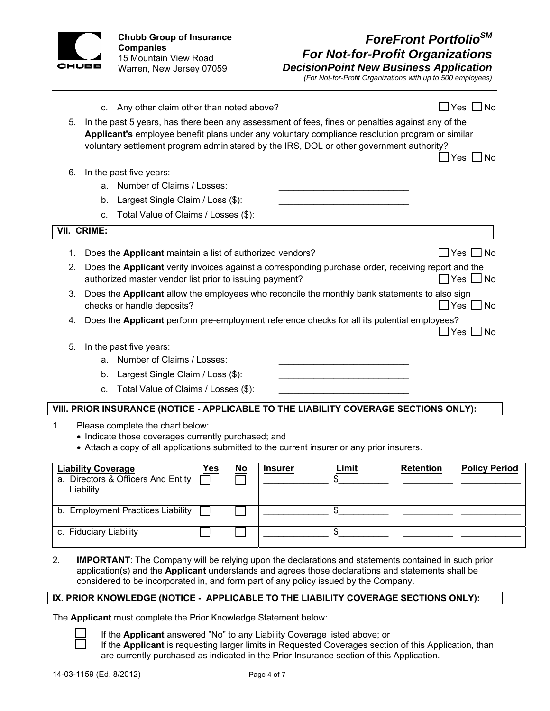

**Chubb Group of Insurance Companies**  15 Mountain View Road Warren, New Jersey 07059

### *ForeFront PortfolioSM For Not-for-Profit Organizations DecisionPoint New Business Application*

*(For Not-for-Profit Organizations with up to 500 employees)* 

|         | $C_{\cdot}$                                                                                                                                                                                                                                                                                                              | ]Yes ∐No<br>Any other claim other than noted above?                                                                 |  |  |  |
|---------|--------------------------------------------------------------------------------------------------------------------------------------------------------------------------------------------------------------------------------------------------------------------------------------------------------------------------|---------------------------------------------------------------------------------------------------------------------|--|--|--|
| 5.      | In the past 5 years, has there been any assessment of fees, fines or penalties against any of the<br>Applicant's employee benefit plans under any voluntary compliance resolution program or similar<br>voluntary settlement program administered by the IRS, DOL or other government authority?<br>$\Box$ Yes $\Box$ No |                                                                                                                     |  |  |  |
| 6.      |                                                                                                                                                                                                                                                                                                                          | In the past five years:                                                                                             |  |  |  |
|         | a <sub>1</sub>                                                                                                                                                                                                                                                                                                           | Number of Claims / Losses:                                                                                          |  |  |  |
|         | b.                                                                                                                                                                                                                                                                                                                       | Largest Single Claim / Loss (\$):                                                                                   |  |  |  |
|         | $C_{r}$                                                                                                                                                                                                                                                                                                                  | Total Value of Claims / Losses (\$):                                                                                |  |  |  |
|         | <b>VII. CRIME:</b>                                                                                                                                                                                                                                                                                                       |                                                                                                                     |  |  |  |
| 1.      |                                                                                                                                                                                                                                                                                                                          | Does the Applicant maintain a list of authorized vendors?<br> Yes    No                                             |  |  |  |
| $2_{-}$ | Does the Applicant verify invoices against a corresponding purchase order, receiving report and the<br>$\sqcap$ Yes $\sqcup$ No<br>authorized master vendor list prior to issuing payment?                                                                                                                               |                                                                                                                     |  |  |  |
| 3.      | Does the Applicant allow the employees who reconcile the monthly bank statements to also sign<br>∐Yes ∐ No<br>checks or handle deposits?                                                                                                                                                                                 |                                                                                                                     |  |  |  |
| 4.      |                                                                                                                                                                                                                                                                                                                          | Does the Applicant perform pre-employment reference checks for all its potential employees?<br>$\Box$ Yes $\Box$ No |  |  |  |
| 5.      |                                                                                                                                                                                                                                                                                                                          | In the past five years:                                                                                             |  |  |  |
|         | a <sub>z</sub>                                                                                                                                                                                                                                                                                                           | Number of Claims / Losses:                                                                                          |  |  |  |
|         | b.                                                                                                                                                                                                                                                                                                                       | Largest Single Claim / Loss (\$):                                                                                   |  |  |  |
|         | C.                                                                                                                                                                                                                                                                                                                       | Total Value of Claims / Losses (\$):                                                                                |  |  |  |
|         |                                                                                                                                                                                                                                                                                                                          | VIII. PRIOR INSURANCE (NOTICE - APPLICABLE TO THE LIABILITY COVERAGE SECTIONS ONLY):                                |  |  |  |
|         |                                                                                                                                                                                                                                                                                                                          |                                                                                                                     |  |  |  |

- 1. Please complete the chart below:
	- Indicate those coverages currently purchased; and
	- Attach a copy of all applications submitted to the current insurer or any prior insurers.

| <b>Liability Coverage</b>                       | Yes | No | <b>Insurer</b> | Limit | <b>Retention</b> | <b>Policy Period</b> |
|-------------------------------------------------|-----|----|----------------|-------|------------------|----------------------|
| a. Directors & Officers And Entity<br>Liability |     |    |                |       |                  |                      |
| b. Employment Practices Liability               |     |    |                |       |                  |                      |
| c. Fiduciary Liability                          |     |    |                |       |                  |                      |

2. **IMPORTANT**: The Company will be relying upon the declarations and statements contained in such prior application(s) and the **Applicant** understands and agrees those declarations and statements shall be considered to be incorporated in, and form part of any policy issued by the Company.

#### **IX. PRIOR KNOWLEDGE (NOTICE - APPLICABLE TO THE LIABILITY COVERAGE SECTIONS ONLY):**

The **Applicant** must complete the Prior Knowledge Statement below:



- If the **Applicant** answered "No" to any Liability Coverage listed above; or
- If the **Applicant** is requesting larger limits in Requested Coverages section of this Application, than are currently purchased as indicated in the Prior Insurance section of this Application.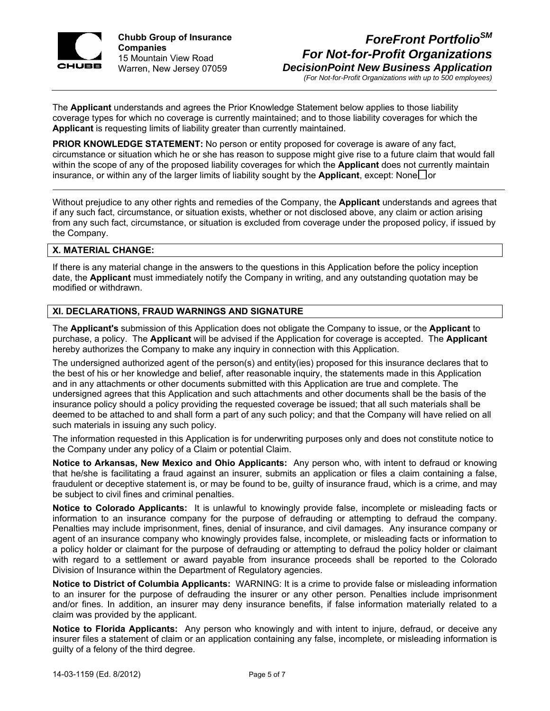

**Chubb Group of Insurance Companies**  15 Mountain View Road Warren, New Jersey 07059

# *ForeFront PortfolioSM For Not-for-Profit Organizations DecisionPoint New Business Application*

*(For Not-for-Profit Organizations with up to 500 employees)* 

The **Applicant** understands and agrees the Prior Knowledge Statement below applies to those liability coverage types for which no coverage is currently maintained; and to those liability coverages for which the **Applicant** is requesting limits of liability greater than currently maintained.

**PRIOR KNOWLEDGE STATEMENT:** No person or entity proposed for coverage is aware of any fact, circumstance or situation which he or she has reason to suppose might give rise to a future claim that would fall within the scope of any of the proposed liability coverages for which the **Applicant** does not currently maintain insurance, or within any of the larger limits of liability sought by the **Applicant**, except: None  $\overline{\phantom{a}}$  or

Without prejudice to any other rights and remedies of the Company, the **Applicant** understands and agrees that if any such fact, circumstance, or situation exists, whether or not disclosed above, any claim or action arising from any such fact, circumstance, or situation is excluded from coverage under the proposed policy, if issued by the Company.

#### **X. MATERIAL CHANGE:**

If there is any material change in the answers to the questions in this Application before the policy inception date, the **Applicant** must immediately notify the Company in writing, and any outstanding quotation may be modified or withdrawn.

#### **XI. DECLARATIONS, FRAUD WARNINGS AND SIGNATURE**

The **Applicant's** submission of this Application does not obligate the Company to issue, or the **Applicant** to purchase, a policy. The **Applicant** will be advised if the Application for coverage is accepted. The **Applicant** hereby authorizes the Company to make any inquiry in connection with this Application.

The undersigned authorized agent of the person(s) and entity(ies) proposed for this insurance declares that to the best of his or her knowledge and belief, after reasonable inquiry, the statements made in this Application and in any attachments or other documents submitted with this Application are true and complete. The undersigned agrees that this Application and such attachments and other documents shall be the basis of the insurance policy should a policy providing the requested coverage be issued; that all such materials shall be deemed to be attached to and shall form a part of any such policy; and that the Company will have relied on all such materials in issuing any such policy.

The information requested in this Application is for underwriting purposes only and does not constitute notice to the Company under any policy of a Claim or potential Claim.

**Notice to Arkansas, New Mexico and Ohio Applicants:** Any person who, with intent to defraud or knowing that he/she is facilitating a fraud against an insurer, submits an application or files a claim containing a false, fraudulent or deceptive statement is, or may be found to be, guilty of insurance fraud, which is a crime, and may be subject to civil fines and criminal penalties.

**Notice to Colorado Applicants:** It is unlawful to knowingly provide false, incomplete or misleading facts or information to an insurance company for the purpose of defrauding or attempting to defraud the company. Penalties may include imprisonment, fines, denial of insurance, and civil damages. Any insurance company or agent of an insurance company who knowingly provides false, incomplete, or misleading facts or information to a policy holder or claimant for the purpose of defrauding or attempting to defraud the policy holder or claimant with regard to a settlement or award payable from insurance proceeds shall be reported to the Colorado Division of Insurance within the Department of Regulatory agencies.

**Notice to District of Columbia Applicants:** WARNING: It is a crime to provide false or misleading information to an insurer for the purpose of defrauding the insurer or any other person. Penalties include imprisonment and/or fines. In addition, an insurer may deny insurance benefits, if false information materially related to a claim was provided by the applicant.

**Notice to Florida Applicants:** Any person who knowingly and with intent to injure, defraud, or deceive any insurer files a statement of claim or an application containing any false, incomplete, or misleading information is guilty of a felony of the third degree.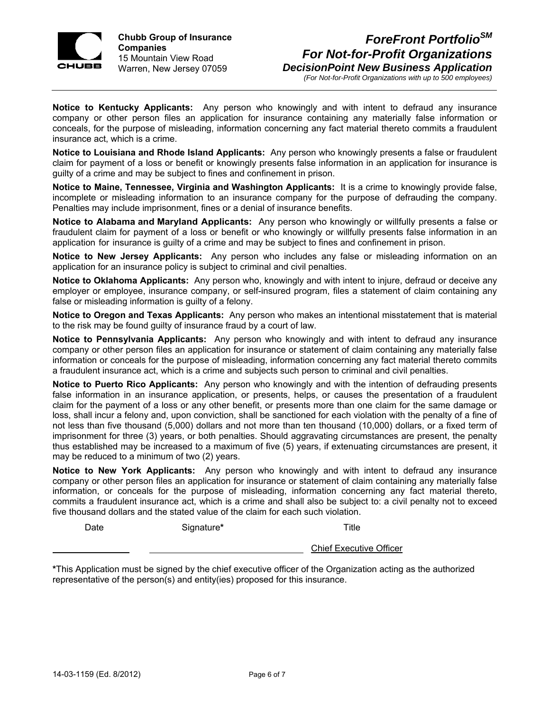

**Chubb Group of Insurance Companies**  15 Mountain View Road Warren, New Jersey 07059

## *ForeFront PortfolioSM For Not-for-Profit Organizations DecisionPoint New Business Application*

*(For Not-for-Profit Organizations with up to 500 employees)* 

**Notice to Kentucky Applicants:** Any person who knowingly and with intent to defraud any insurance company or other person files an application for insurance containing any materially false information or conceals, for the purpose of misleading, information concerning any fact material thereto commits a fraudulent insurance act, which is a crime.

**Notice to Louisiana and Rhode Island Applicants:** Any person who knowingly presents a false or fraudulent claim for payment of a loss or benefit or knowingly presents false information in an application for insurance is guilty of a crime and may be subject to fines and confinement in prison.

**Notice to Maine, Tennessee, Virginia and Washington Applicants:** It is a crime to knowingly provide false, incomplete or misleading information to an insurance company for the purpose of defrauding the company. Penalties may include imprisonment, fines or a denial of insurance benefits.

**Notice to Alabama and Maryland Applicants:** Any person who knowingly or willfully presents a false or fraudulent claim for payment of a loss or benefit or who knowingly or willfully presents false information in an application for insurance is guilty of a crime and may be subject to fines and confinement in prison.

**Notice to New Jersey Applicants:** Any person who includes any false or misleading information on an application for an insurance policy is subject to criminal and civil penalties.

**Notice to Oklahoma Applicants:** Any person who, knowingly and with intent to injure, defraud or deceive any employer or employee, insurance company, or self-insured program, files a statement of claim containing any false or misleading information is guilty of a felony.

**Notice to Oregon and Texas Applicants:** Any person who makes an intentional misstatement that is material to the risk may be found guilty of insurance fraud by a court of law.

**Notice to Pennsylvania Applicants:** Any person who knowingly and with intent to defraud any insurance company or other person files an application for insurance or statement of claim containing any materially false information or conceals for the purpose of misleading, information concerning any fact material thereto commits a fraudulent insurance act, which is a crime and subjects such person to criminal and civil penalties.

**Notice to Puerto Rico Applicants:** Any person who knowingly and with the intention of defrauding presents false information in an insurance application, or presents, helps, or causes the presentation of a fraudulent claim for the payment of a loss or any other benefit, or presents more than one claim for the same damage or loss, shall incur a felony and, upon conviction, shall be sanctioned for each violation with the penalty of a fine of not less than five thousand (5,000) dollars and not more than ten thousand (10,000) dollars, or a fixed term of imprisonment for three (3) years, or both penalties. Should aggravating circumstances are present, the penalty thus established may be increased to a maximum of five (5) years, if extenuating circumstances are present, it may be reduced to a minimum of two (2) years.

**Notice to New York Applicants:** Any person who knowingly and with intent to defraud any insurance company or other person files an application for insurance or statement of claim containing any materially false information, or conceals for the purpose of misleading, information concerning any fact material thereto, commits a fraudulent insurance act, which is a crime and shall also be subject to: a civil penalty not to exceed five thousand dollars and the stated value of the claim for each such violation.

Date Signature<sup>\*</sup> Signature<sup>\*</sup> Title

Chief Executive Officer

**\***This Application must be signed by the chief executive officer of the Organization acting as the authorized representative of the person(s) and entity(ies) proposed for this insurance.